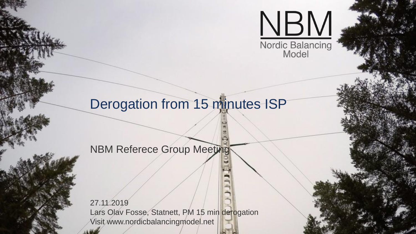

# Derogation from 15 minutes ISP

### **NBM Referece Group Meetings**

27.11.2019 Lars Olav Fosse, Statnett, PM 15 min derogation Visit www.nordicbalancingmodel.net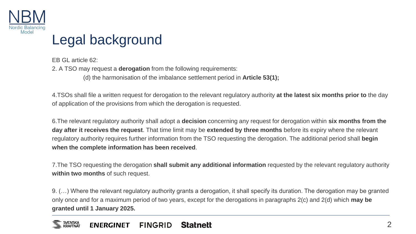

## Legal background

EB GL article 62: 2. A TSO may request a **derogation** from the following requirements: (d) the harmonisation of the imbalance settlement period in **Article 53(1);** 

4.TSOs shall file a written request for derogation to the relevant regulatory authority **at the latest six months prior to** the day of application of the provisions from which the derogation is requested.

6.The relevant regulatory authority shall adopt a **decision** concerning any request for derogation within **six months from the day after it receives the request**. That time limit may be **extended by three months** before its expiry where the relevant regulatory authority requires further information from the TSO requesting the derogation. The additional period shall **begin when the complete information has been received**.

7.The TSO requesting the derogation **shall submit any additional information** requested by the relevant regulatory authority **within two months** of such request.

9. (…) Where the relevant regulatory authority grants a derogation, it shall specify its duration. The derogation may be granted only once and for a maximum period of two years, except for the derogations in paragraphs 2(c) and 2(d) which **may be granted until 1 January 2025.**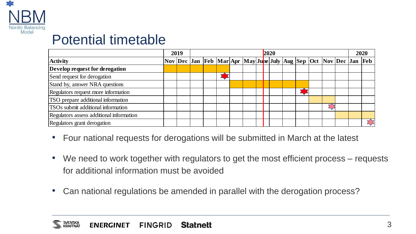

## Potential timetable

|                                           | 2019 | 2020 |  |  |  |  |  |                                                                   |  |  |  |  |  | 2020 |  |
|-------------------------------------------|------|------|--|--|--|--|--|-------------------------------------------------------------------|--|--|--|--|--|------|--|
| <b>Activity</b>                           |      |      |  |  |  |  |  | Nov Dec Jan Feb Mar Apr May June July Aug Sep Oct Nov Dec Jan Feb |  |  |  |  |  |      |  |
| Develop request for derogation            |      |      |  |  |  |  |  |                                                                   |  |  |  |  |  |      |  |
| Send request for derogation               |      |      |  |  |  |  |  |                                                                   |  |  |  |  |  |      |  |
| Stand by, answer NRA questions            |      |      |  |  |  |  |  |                                                                   |  |  |  |  |  |      |  |
| Regulators request more information       |      |      |  |  |  |  |  |                                                                   |  |  |  |  |  |      |  |
| TSO prepare additional information        |      |      |  |  |  |  |  |                                                                   |  |  |  |  |  |      |  |
| <b>TSOs</b> submit additional information |      |      |  |  |  |  |  |                                                                   |  |  |  |  |  |      |  |
| Regulators assess additional information  |      |      |  |  |  |  |  |                                                                   |  |  |  |  |  |      |  |
| Regulators grant derogation               |      |      |  |  |  |  |  |                                                                   |  |  |  |  |  |      |  |

- Four national requests for derogations will be submitted in March at the latest
- We need to work together with regulators to get the most efficient process requests for additional information must be avoided
- Can national regulations be amended in parallel with the derogation process?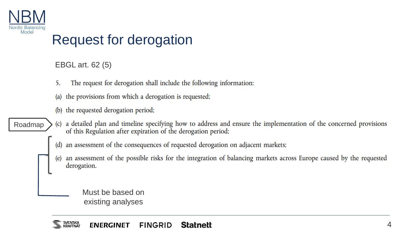

## Request for derogation

EBGL art. 62 (5)

- The request for derogation shall include the following information: 5.
- the provisions from which a derogation is requested;  $(a)$
- (b) the requested derogation period;

#### a detailed plan and timeline specifying how to address and ensure the implementation of the concerned provisions Roadmap  $(c)$ of this Regulation after expiration of the derogation period;

- an assessment of the consequences of requested derogation on adjacent markets;  $(d)$
- an assessment of the possible risks for the integration of balancing markets across Europe caused by the requested  $(e)$ derogation.

Must be based on existing analyses